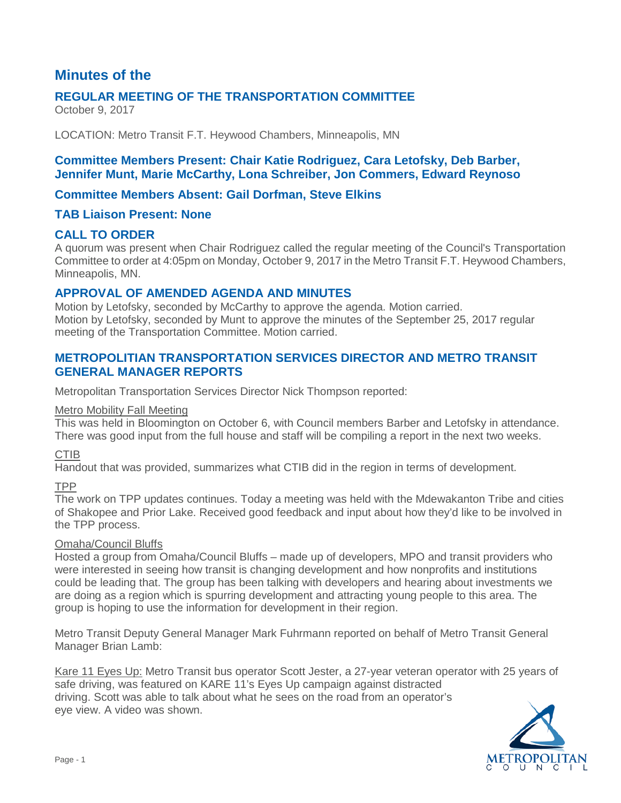# **Minutes of the**

# **REGULAR MEETING OF THE TRANSPORTATION COMMITTEE**

October 9, 2017

LOCATION: Metro Transit F.T. Heywood Chambers, Minneapolis, MN

## **Committee Members Present: Chair Katie Rodriguez, Cara Letofsky, Deb Barber, Jennifer Munt, Marie McCarthy, Lona Schreiber, Jon Commers, Edward Reynoso**

# **Committee Members Absent: Gail Dorfman, Steve Elkins**

### **TAB Liaison Present: None**

# **CALL TO ORDER**

A quorum was present when Chair Rodriguez called the regular meeting of the Council's Transportation Committee to order at 4:05pm on Monday, October 9, 2017 in the Metro Transit F.T. Heywood Chambers, Minneapolis, MN.

### **APPROVAL OF AMENDED AGENDA AND MINUTES**

Motion by Letofsky, seconded by McCarthy to approve the agenda. Motion carried. Motion by Letofsky, seconded by Munt to approve the minutes of the September 25, 2017 regular meeting of the Transportation Committee. Motion carried.

# **METROPOLITIAN TRANSPORTATION SERVICES DIRECTOR AND METRO TRANSIT GENERAL MANAGER REPORTS**

Metropolitan Transportation Services Director Nick Thompson reported:

#### Metro Mobility Fall Meeting

This was held in Bloomington on October 6, with Council members Barber and Letofsky in attendance. There was good input from the full house and staff will be compiling a report in the next two weeks.

### **CTIB**

Handout that was provided, summarizes what CTIB did in the region in terms of development.

### TPP

The work on TPP updates continues. Today a meeting was held with the Mdewakanton Tribe and cities of Shakopee and Prior Lake. Received good feedback and input about how they'd like to be involved in the TPP process.

### Omaha/Council Bluffs

Hosted a group from Omaha/Council Bluffs – made up of developers, MPO and transit providers who were interested in seeing how transit is changing development and how nonprofits and institutions could be leading that. The group has been talking with developers and hearing about investments we are doing as a region which is spurring development and attracting young people to this area. The group is hoping to use the information for development in their region.

Metro Transit Deputy General Manager Mark Fuhrmann reported on behalf of Metro Transit General Manager Brian Lamb:

Kare 11 Eyes Up: Metro Transit bus operator Scott Jester, a 27-year veteran operator with 25 years of safe driving, was featured on KARE 11's Eyes Up campaign against distracted driving. Scott was able to talk about what he sees on the road from an operator's eye view. A video was shown.

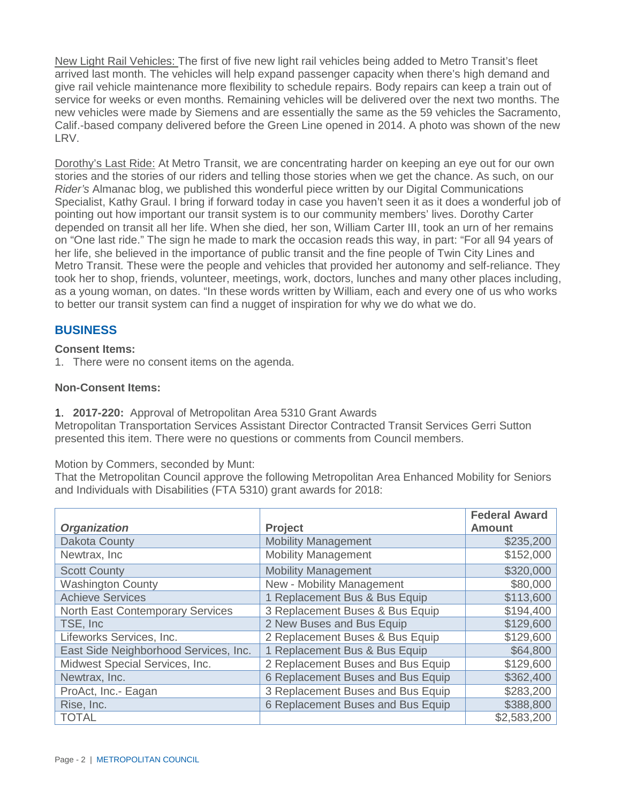New Light Rail Vehicles: The first of five new light rail vehicles being added to Metro Transit's fleet arrived last month. The vehicles will help expand passenger capacity when there's high demand and give rail vehicle maintenance more flexibility to schedule repairs. Body repairs can keep a train out of service for weeks or even months. Remaining vehicles will be delivered over the next two months. The new vehicles were made by Siemens and are essentially the same as the 59 vehicles the Sacramento, Calif.-based company delivered before the Green Line opened in 2014. A photo was shown of the new LRV.

Dorothy's Last Ride: At Metro Transit, we are concentrating harder on keeping an eye out for our own stories and the stories of our riders and telling those stories when we get the chance. As such, on our *Rider's* Almanac blog, we published this wonderful piece written by our Digital Communications Specialist, Kathy Graul. I bring if forward today in case you haven't seen it as it does a wonderful job of pointing out how important our transit system is to our community members' lives. Dorothy Carter depended on transit all her life. When she died, her son, William Carter III, took an urn of her remains on "One last ride." The sign he made to mark the occasion reads this way, in part: "For all 94 years of her life, she believed in the importance of public transit and the fine people of Twin City Lines and Metro Transit. These were the people and vehicles that provided her autonomy and self-reliance. They took her to shop, friends, volunteer, meetings, work, doctors, lunches and many other places including, as a young woman, on dates. "In these words written by William, each and every one of us who works to better our transit system can find a nugget of inspiration for why we do what we do.

# **BUSINESS**

#### **Consent Items:**

1. There were no consent items on the agenda.

#### **Non-Consent Items:**

1. **2017-220:** Approval of Metropolitan Area 5310 Grant Awards

Metropolitan Transportation Services Assistant Director Contracted Transit Services Gerri Sutton presented this item. There were no questions or comments from Council members.

Motion by Commers, seconded by Munt:

That the Metropolitan Council approve the following Metropolitan Area Enhanced Mobility for Seniors and Individuals with Disabilities (FTA 5310) grant awards for 2018:

|                                         |                                   | <b>Federal Award</b> |
|-----------------------------------------|-----------------------------------|----------------------|
| <b>Organization</b>                     | <b>Project</b>                    | <b>Amount</b>        |
| Dakota County                           | <b>Mobility Management</b>        | \$235,200            |
| Newtrax, Inc                            | <b>Mobility Management</b>        | \$152,000            |
| <b>Scott County</b>                     | <b>Mobility Management</b>        | \$320,000            |
| <b>Washington County</b>                | New - Mobility Management         | \$80,000             |
| <b>Achieve Services</b>                 | 1 Replacement Bus & Bus Equip     | \$113,600            |
| <b>North East Contemporary Services</b> | 3 Replacement Buses & Bus Equip   | \$194,400            |
| TSE, Inc.                               | 2 New Buses and Bus Equip         | \$129,600            |
| Lifeworks Services, Inc.                | 2 Replacement Buses & Bus Equip   | \$129,600            |
| East Side Neighborhood Services, Inc.   | 1 Replacement Bus & Bus Equip     | \$64,800             |
| Midwest Special Services, Inc.          | 2 Replacement Buses and Bus Equip | \$129,600            |
| Newtrax, Inc.                           | 6 Replacement Buses and Bus Equip | \$362,400            |
| ProAct, Inc.- Eagan                     | 3 Replacement Buses and Bus Equip | \$283,200            |
| Rise, Inc.                              | 6 Replacement Buses and Bus Equip | \$388,800            |
| <b>TOTAL</b>                            |                                   | \$2,583,200          |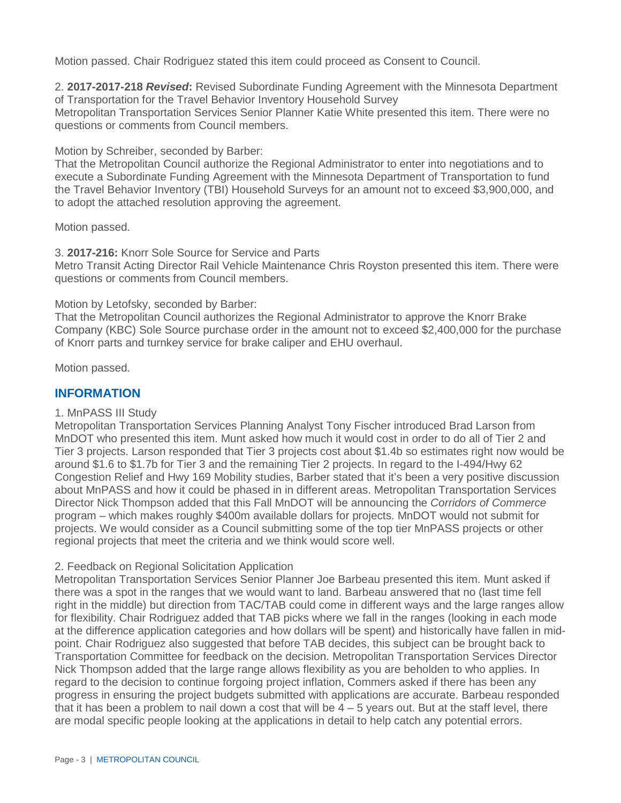Motion passed. Chair Rodriguez stated this item could proceed as Consent to Council.

2. **2017-2017-218** *Revised***:** Revised Subordinate Funding Agreement with the Minnesota Department of Transportation for the Travel Behavior Inventory Household Survey Metropolitan Transportation Services Senior Planner Katie White presented this item. There were no questions or comments from Council members.

Motion by Schreiber, seconded by Barber:

That the Metropolitan Council authorize the Regional Administrator to enter into negotiations and to execute a Subordinate Funding Agreement with the Minnesota Department of Transportation to fund the Travel Behavior Inventory (TBI) Household Surveys for an amount not to exceed \$3,900,000, and to adopt the attached resolution approving the agreement.

Motion passed.

3. **2017-216:** Knorr Sole Source for Service and Parts

Metro Transit Acting Director Rail Vehicle Maintenance Chris Royston presented this item. There were questions or comments from Council members.

#### Motion by Letofsky, seconded by Barber:

That the Metropolitan Council authorizes the Regional Administrator to approve the Knorr Brake Company (KBC) Sole Source purchase order in the amount not to exceed \$2,400,000 for the purchase of Knorr parts and turnkey service for brake caliper and EHU overhaul.

Motion passed.

### **INFORMATION**

#### 1. MnPASS III Study

Metropolitan Transportation Services Planning Analyst Tony Fischer introduced Brad Larson from MnDOT who presented this item. Munt asked how much it would cost in order to do all of Tier 2 and Tier 3 projects. Larson responded that Tier 3 projects cost about \$1.4b so estimates right now would be around \$1.6 to \$1.7b for Tier 3 and the remaining Tier 2 projects. In regard to the I-494/Hwy 62 Congestion Relief and Hwy 169 Mobility studies, Barber stated that it's been a very positive discussion about MnPASS and how it could be phased in in different areas. Metropolitan Transportation Services Director Nick Thompson added that this Fall MnDOT will be announcing the *Corridors of Commerce*  program – which makes roughly \$400m available dollars for projects. MnDOT would not submit for projects. We would consider as a Council submitting some of the top tier MnPASS projects or other regional projects that meet the criteria and we think would score well.

#### 2. Feedback on Regional Solicitation Application

Metropolitan Transportation Services Senior Planner Joe Barbeau presented this item. Munt asked if there was a spot in the ranges that we would want to land. Barbeau answered that no (last time fell right in the middle) but direction from TAC/TAB could come in different ways and the large ranges allow for flexibility. Chair Rodriguez added that TAB picks where we fall in the ranges (looking in each mode at the difference application categories and how dollars will be spent) and historically have fallen in midpoint. Chair Rodriguez also suggested that before TAB decides, this subject can be brought back to Transportation Committee for feedback on the decision. Metropolitan Transportation Services Director Nick Thompson added that the large range allows flexibility as you are beholden to who applies. In regard to the decision to continue forgoing project inflation, Commers asked if there has been any progress in ensuring the project budgets submitted with applications are accurate. Barbeau responded that it has been a problem to nail down a cost that will be  $4 - 5$  years out. But at the staff level, there are modal specific people looking at the applications in detail to help catch any potential errors.